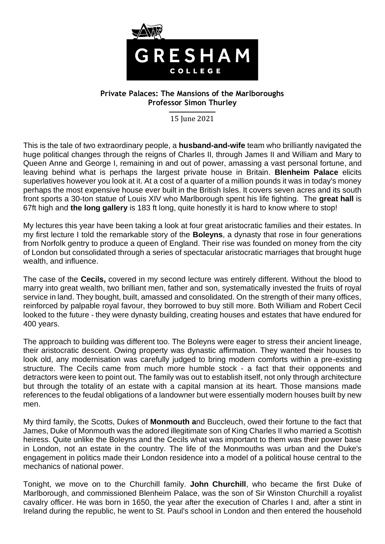

## **Private Palaces: The Mansions of the Marlboroughs Professor Simon Thurley**

15 June 2021

This is the tale of two extraordinary people, a **husband-and-wife** team who brilliantly navigated the huge political changes through the reigns of Charles II, through James II and William and Mary to Queen Anne and George I, remaining in and out of power, amassing a vast personal fortune, and leaving behind what is perhaps the largest private house in Britain. **Blenheim Palace** elicits superlatives however you look at it. At a cost of a quarter of a million pounds it was in today's money perhaps the most expensive house ever built in the British Isles. It covers seven acres and its south front sports a 30-ton statue of Louis XIV who Marlborough spent his life fighting. The **great hall** is 67ft high and **the long gallery** is 183 ft long, quite honestly it is hard to know where to stop!

My lectures this year have been taking a look at four great aristocratic families and their estates. In my first lecture I told the remarkable story of the **Boleyns**, a dynasty that rose in four generations from Norfolk gentry to produce a queen of England. Their rise was founded on money from the city of London but consolidated through a series of spectacular aristocratic marriages that brought huge wealth, and influence.

The case of the **Cecils,** covered in my second lecture was entirely different. Without the blood to marry into great wealth, two brilliant men, father and son, systematically invested the fruits of royal service in land. They bought, built, amassed and consolidated. On the strength of their many offices, reinforced by palpable royal favour, they borrowed to buy still more. Both William and Robert Cecil looked to the future - they were dynasty building, creating houses and estates that have endured for 400 years.

The approach to building was different too. The Boleyns were eager to stress their ancient lineage, their aristocratic descent. Owing property was dynastic affirmation. They wanted their houses to look old, any modernisation was carefully judged to bring modern comforts within a pre-existing structure. The Cecils came from much more humble stock - a fact that their opponents and detractors were keen to point out. The family was out to establish itself, not only through architecture but through the totality of an estate with a capital mansion at its heart. Those mansions made references to the feudal obligations of a landowner but were essentially modern houses built by new men.

My third family, the Scotts, Dukes of **Monmouth a**nd Buccleuch, owed their fortune to the fact that James, Duke of Monmouth was the adored illegitimate son of King Charles II who married a Scottish heiress. Quite unlike the Boleyns and the Cecils what was important to them was their power base in London, not an estate in the country. The life of the Monmouths was urban and the Duke's engagement in politics made their London residence into a model of a political house central to the mechanics of national power.

Tonight, we move on to the Churchill family. **John Churchill**, who became the first Duke of Marlborough, and commissioned Blenheim Palace, was the son of Sir Winston Churchill a royalist cavalry officer. He was born in 1650, the year after the execution of Charles I and, after a stint in Ireland during the republic, he went to St. Paul's school in London and then entered the household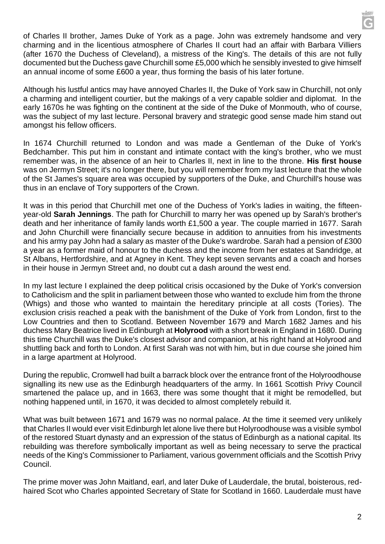of Charles II brother, James Duke of York as a page. John was extremely handsome and very charming and in the licentious atmosphere of Charles II court had an affair with Barbara Villiers (after 1670 the Duchess of Cleveland), a mistress of the King's. The details of this are not fully documented but the Duchess gave Churchill some £5,000 which he sensibly invested to give himself an annual income of some £600 a year, thus forming the basis of his later fortune.

Although his lustful antics may have annoyed Charles II, the Duke of York saw in Churchill, not only a charming and intelligent courtier, but the makings of a very capable soldier and diplomat. In the early 1670s he was fighting on the continent at the side of the Duke of Monmouth, who of course, was the subject of my last lecture. Personal bravery and strategic good sense made him stand out amongst his fellow officers.

In 1674 Churchill returned to London and was made a Gentleman of the Duke of York's Bedchamber. This put him in constant and intimate contact with the king's brother, who we must remember was, in the absence of an heir to Charles II, next in line to the throne. **His first house** was on Jermyn Street; it's no longer there, but you will remember from my last lecture that the whole of the St James's square area was occupied by supporters of the Duke, and Churchill's house was thus in an enclave of Tory supporters of the Crown.

It was in this period that Churchill met one of the Duchess of York's ladies in waiting, the fifteenyear-old **Sarah Jennings**. The path for Churchill to marry her was opened up by Sarah's brother's death and her inheritance of family lands worth £1,500 a year. The couple married in 1677. Sarah and John Churchill were financially secure because in addition to annuities from his investments and his army pay John had a salary as master of the Duke's wardrobe. Sarah had a pension of £300 a year as a former maid of honour to the duchess and the income from her estates at Sandridge, at St Albans, Hertfordshire, and at Agney in Kent. They kept seven servants and a coach and horses in their house in Jermyn Street and, no doubt cut a dash around the west end.

In my last lecture I explained the deep political crisis occasioned by the Duke of York's conversion to Catholicism and the split in parliament between those who wanted to exclude him from the throne (Whigs) and those who wanted to maintain the hereditary principle at all costs (Tories). The exclusion crisis reached a peak with the banishment of the Duke of York from London, first to the Low Countries and then to Scotland. Between November 1679 and March 1682 James and his duchess Mary Beatrice lived in Edinburgh at **Holyrood** with a short break in England in 1680. During this time Churchill was the Duke's closest advisor and companion, at his right hand at Holyrood and shuttling back and forth to London. At first Sarah was not with him, but in due course she joined him in a large apartment at Holyrood.

During the republic, Cromwell had built a barrack block over the entrance front of the Holyroodhouse signalling its new use as the Edinburgh headquarters of the army. In 1661 Scottish Privy Council smartened the palace up, and in 1663, there was some thought that it might be remodelled, but nothing happened until, in 1670, it was decided to almost completely rebuild it.

What was built between 1671 and 1679 was no normal palace. At the time it seemed very unlikely that Charles II would ever visit Edinburgh let alone live there but Holyroodhouse was a visible symbol of the restored Stuart dynasty and an expression of the status of Edinburgh as a national capital. Its rebuilding was therefore symbolically important as well as being necessary to serve the practical needs of the King's Commissioner to Parliament, various government officials and the Scottish Privy Council.

The prime mover was John Maitland, earl, and later Duke of Lauderdale, the brutal, boisterous, redhaired Scot who Charles appointed Secretary of State for Scotland in 1660. Lauderdale must have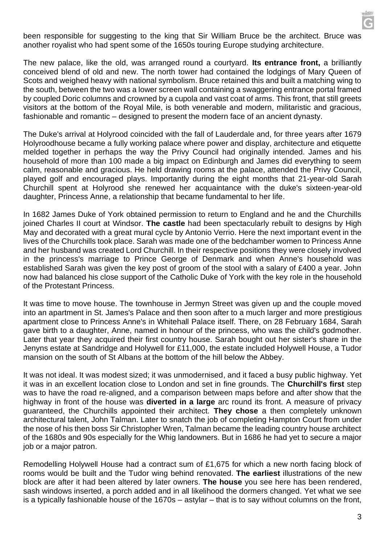been responsible for suggesting to the king that Sir William Bruce be the architect. Bruce was another royalist who had spent some of the 1650s touring Europe studying architecture.

The new palace, like the old, was arranged round a courtyard. **Its entrance front,** a brilliantly conceived blend of old and new. The north tower had contained the lodgings of Mary Queen of Scots and weighed heavy with national symbolism. Bruce retained this and built a matching wing to the south, between the two was a lower screen wall containing a swaggering entrance portal framed by coupled Doric columns and crowned by a cupola and vast coat of arms. This front, that still greets visitors at the bottom of the Royal Mile, is both venerable and modern, militaristic and gracious, fashionable and romantic – designed to present the modern face of an ancient dynasty.

The Duke's arrival at Holyrood coincided with the fall of Lauderdale and, for three years after 1679 Holyroodhouse became a fully working palace where power and display, architecture and etiquette melded together in perhaps the way the Privy Council had originally intended. James and his household of more than 100 made a big impact on Edinburgh and James did everything to seem calm, reasonable and gracious. He held drawing rooms at the palace, attended the Privy Council, played golf and encouraged plays. Importantly during the eight months that 21-year-old Sarah Churchill spent at Holyrood she renewed her acquaintance with the duke's sixteen-year-old daughter, Princess Anne, a relationship that became fundamental to her life.

In 1682 James Duke of York obtained permission to return to England and he and the Churchills joined Charles II court at Windsor. **The castle** had been spectacularly rebuilt to designs by High May and decorated with a great mural cycle by Antonio Verrio. Here the next important event in the lives of the Churchills took place. Sarah was made one of the bedchamber women to Princess Anne and her husband was created Lord Churchill. In their respective positions they were closely involved in the princess's marriage to Prince George of Denmark and when Anne's household was established Sarah was given the key post of groom of the stool with a salary of £400 a year. John now had balanced his close support of the Catholic Duke of York with the key role in the household of the Protestant Princess.

It was time to move house. The townhouse in Jermyn Street was given up and the couple moved into an apartment in St. James's Palace and then soon after to a much larger and more prestigious apartment close to Princess Anne's in Whitehall Palace itself. There, on 28 February 1684, Sarah gave birth to a daughter, Anne, named in honour of the princess, who was the child's godmother. Later that year they acquired their first country house. Sarah bought out her sister's share in the Jenyns estate at Sandridge and Holywell for £11,000, the estate included Holywell House, a Tudor mansion on the south of St Albans at the bottom of the hill below the Abbey.

It was not ideal. It was modest sized; it was unmodernised, and it faced a busy public highway. Yet it was in an excellent location close to London and set in fine grounds. The **Churchill's first** step was to have the road re-aligned, and a comparison between maps before and after show that the highway in front of the house was **diverted in a large** arc round its front. A measure of privacy guaranteed, the Churchills appointed their architect. **They chose** a then completely unknown architectural talent, John Talman. Later to snatch the job of completing Hampton Court from under the nose of his then boss Sir Christopher Wren, Talman became the leading country house architect of the 1680s and 90s especially for the Whig landowners. But in 1686 he had yet to secure a major job or a major patron.

Remodelling Holywell House had a contract sum of £1,675 for which a new north facing block of rooms would be built and the Tudor wing behind renovated. **The earliest** illustrations of the new block are after it had been altered by later owners. **The house** you see here has been rendered, sash windows inserted, a porch added and in all likelihood the dormers changed. Yet what we see is a typically fashionable house of the 1670s – astylar – that is to say without columns on the front,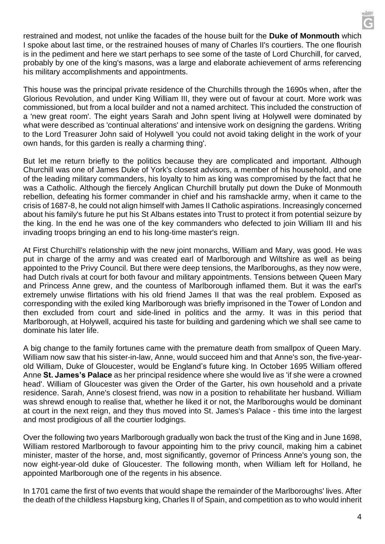restrained and modest, not unlike the facades of the house built for the **Duke of Monmouth** which I spoke about last time, or the restrained houses of many of Charles II's courtiers. The one flourish is in the pediment and here we start perhaps to see some of the taste of Lord Churchill, for carved, probably by one of the king's masons, was a large and elaborate achievement of arms referencing his military accomplishments and appointments.

This house was the principal private residence of the Churchills through the 1690s when, after the Glorious Revolution, and under King William III, they were out of favour at court. More work was commissioned, but from a local builder and not a named architect. This included the construction of a 'new great room'. The eight years Sarah and John spent living at Holywell were dominated by what were described as 'continual alterations' and intensive work on designing the gardens. Writing to the Lord Treasurer John said of Holywell 'you could not avoid taking delight in the work of your own hands, for this garden is really a charming thing'.

But let me return briefly to the politics because they are complicated and important. Although Churchill was one of James Duke of York's closest advisors, a member of his household, and one of the leading military commanders, his loyalty to him as king was compromised by the fact that he was a Catholic. Although the fiercely Anglican Churchill brutally put down the Duke of Monmouth rebellion, defeating his former commander in chief and his ramshackle army, when it came to the crisis of 1687-8, he could not align himself with James II Catholic aspirations. Increasingly concerned about his family's future he put his St Albans estates into Trust to protect it from potential seizure by the king. In the end he was one of the key commanders who defected to join William III and his invading troops bringing an end to his long-time master's reign.

At First Churchill's relationship with the new joint monarchs, William and Mary, was good. He was put in charge of the army and was created earl of Marlborough and Wiltshire as well as being appointed to the Privy Council. But there were deep tensions, the Marlboroughs, as they now were, had Dutch rivals at court for both favour and military appointments. Tensions between Queen Mary and Princess Anne grew, and the countess of Marlborough inflamed them. But it was the earl's extremely unwise flirtations with his old friend James II that was the real problem. Exposed as corresponding with the exiled king Marlborough was briefly imprisoned in the Tower of London and then excluded from court and side-lined in politics and the army. It was in this period that Marlborough, at Holywell, acquired his taste for building and gardening which we shall see came to dominate his later life.

A big change to the family fortunes came with the premature death from smallpox of Queen Mary. William now saw that his sister-in-law, Anne, would succeed him and that Anne's son, the five-yearold William, Duke of Gloucester, would be England's future king. In October 1695 William offered Anne **St. James's Palace** as her principal residence where she would live as 'if she were a crowned head'. William of Gloucester was given the Order of the Garter, his own household and a private residence. Sarah, Anne's closest friend, was now in a position to rehabilitate her husband. William was shrewd enough to realise that, whether he liked it or not, the Marlboroughs would be dominant at court in the next reign, and they thus moved into St. James's Palace - this time into the largest and most prodigious of all the courtier lodgings.

Over the following two years Marlborough gradually won back the trust of the King and in June 1698, William restored Marlborough to favour appointing him to the privy council, making him a cabinet minister, master of the horse, and, most significantly, governor of Princess Anne's young son, the now eight-year-old duke of Gloucester. The following month, when William left for Holland, he appointed Marlborough one of the regents in his absence.

In 1701 came the first of two events that would shape the remainder of the Marlboroughs' lives. After the death of the childless Hapsburg king, Charles II of Spain, and competition as to who would inherit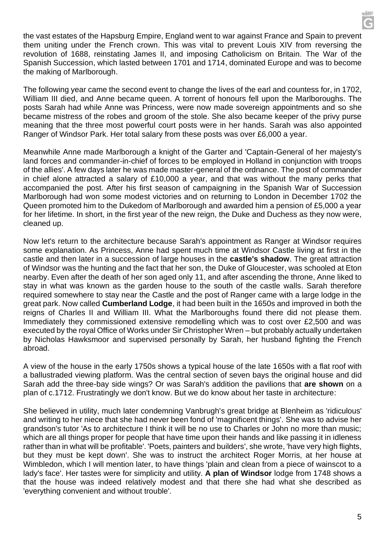the vast estates of the Hapsburg Empire, England went to war against France and Spain to prevent them uniting under the French crown. This was vital to prevent Louis XIV from reversing the revolution of 1688, reinstating James II, and imposing Catholicism on Britain. The War of the Spanish Succession, which lasted between 1701 and 1714, dominated Europe and was to become the making of Marlborough.

The following year came the second event to change the lives of the earl and countess for, in 1702, William III died, and Anne became queen. A torrent of honours fell upon the Marlboroughs. The posts Sarah had while Anne was Princess, were now made sovereign appointments and so she became mistress of the robes and groom of the stole. She also became keeper of the privy purse meaning that the three most powerful court posts were in her hands. Sarah was also appointed Ranger of Windsor Park. Her total salary from these posts was over £6,000 a year.

Meanwhile Anne made Marlborough a knight of the Garter and 'Captain-General of her majesty's land forces and commander-in-chief of forces to be employed in Holland in conjunction with troops of the allies'. A few days later he was made master-general of the ordnance. The post of commander in chief alone attracted a salary of £10,000 a year, and that was without the many perks that accompanied the post. After his first season of campaigning in the Spanish War of Succession Marlborough had won some modest victories and on returning to London in December 1702 the Queen promoted him to the Dukedom of Marlborough and awarded him a pension of £5,000 a year for her lifetime. In short, in the first year of the new reign, the Duke and Duchess as they now were, cleaned up.

Now let's return to the architecture because Sarah's appointment as Ranger at Windsor requires some explanation. As Princess, Anne had spent much time at Windsor Castle living at first in the castle and then later in a succession of large houses in the **castle's shadow**. The great attraction of Windsor was the hunting and the fact that her son, the Duke of Gloucester, was schooled at Eton nearby. Even after the death of her son aged only 11, and after ascending the throne, Anne liked to stay in what was known as the garden house to the south of the castle walls. Sarah therefore required somewhere to stay near the Castle and the post of Ranger came with a large lodge in the great park. Now called **Cumberland Lodge**, it had been built in the 1650s and improved in both the reigns of Charles II and William III. What the Marlboroughs found there did not please them. Immediately they commissioned extensive remodelling which was to cost over £2,500 and was executed by the royal Office of Works under Sir Christopher Wren – but probably actually undertaken by Nicholas Hawksmoor and supervised personally by Sarah, her husband fighting the French abroad.

A view of the house in the early 1750s shows a typical house of the late 1650s with a flat roof with a ballustraded viewing platform. Was the central section of seven bays the original house and did Sarah add the three-bay side wings? Or was Sarah's addition the pavilions that **are shown** on a plan of c.1712. Frustratingly we don't know. But we do know about her taste in architecture:

She believed in utility, much later condemning Vanbrugh's great bridge at Blenheim as 'ridiculous' and writing to her niece that she had never been fond of 'magnificent things'. She was to advise her grandson's tutor 'As to architecture I think it will be no use to Charles or John no more than music; which are all things proper for people that have time upon their hands and like passing it in idleness rather than in what will be profitable'. 'Poets, painters and builders', she wrote, 'have very high flights, but they must be kept down'. She was to instruct the architect Roger Morris, at her house at Wimbledon, which I will mention later, to have things 'plain and clean from a piece of wainscot to a lady's face'. Her tastes were for simplicity and utility. **A plan of Windsor** lodge from 1748 shows a that the house was indeed relatively modest and that there she had what she described as 'everything convenient and without trouble'.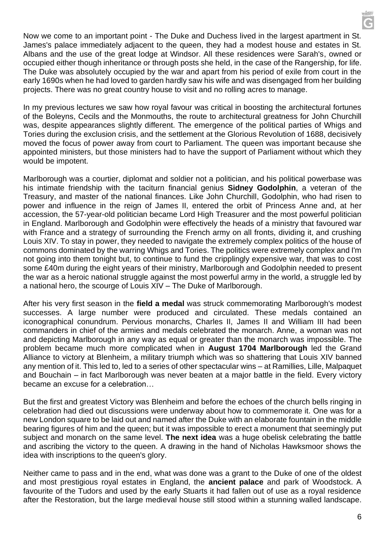Now we come to an important point - The Duke and Duchess lived in the largest apartment in St. James's palace immediately adjacent to the queen, they had a modest house and estates in St. Albans and the use of the great lodge at Windsor. All these residences were Sarah's, owned or occupied either though inheritance or through posts she held, in the case of the Rangership, for life. The Duke was absolutely occupied by the war and apart from his period of exile from court in the early 1690s when he had loved to garden hardly saw his wife and was disengaged from her building projects. There was no great country house to visit and no rolling acres to manage.

In my previous lectures we saw how royal favour was critical in boosting the architectural fortunes of the Boleyns, Cecils and the Monmouths, the route to architectural greatness for John Churchill was, despite appearances slightly different. The emergence of the political parties of Whigs and Tories during the exclusion crisis, and the settlement at the Glorious Revolution of 1688, decisively moved the focus of power away from court to Parliament. The queen was important because she appointed ministers, but those ministers had to have the support of Parliament without which they would be impotent.

Marlborough was a courtier, diplomat and soldier not a politician, and his political powerbase was his intimate friendship with the taciturn financial genius **Sidney Godolphin**, a veteran of the Treasury, and master of the national finances. Like John Churchill, Godolphin, who had risen to power and influence in the reign of James II, entered the orbit of Princess Anne and, at her accession, the 57-year-old politician became Lord High Treasurer and the most powerful politician in England. Marlborough and Godolphin were effectively the heads of a ministry that favoured war with France and a strategy of surrounding the French army on all fronts, dividing it, and crushing Louis XIV. To stay in power, they needed to navigate the extremely complex politics of the house of commons dominated by the warring Whigs and Tories. The politics were extremely complex and I'm not going into them tonight but, to continue to fund the cripplingly expensive war, that was to cost some £40m during the eight years of their ministry, Marlborough and Godolphin needed to present the war as a heroic national struggle against the most powerful army in the world, a struggle led by a national hero, the scourge of Louis XIV – The Duke of Marlborough.

After his very first season in the **field a medal** was struck commemorating Marlborough's modest successes. A large number were produced and circulated. These medals contained an iconographical conundrum. Pervious monarchs, Charles II, James II and William III had been commanders in chief of the armies and medals celebrated the monarch. Anne, a woman was not and depicting Marlborough in any way as equal or greater than the monarch was impossible. The problem became much more complicated when in **August 1704 Marlborough** led the Grand Alliance to victory at Blenheim, a military triumph which was so shattering that Louis XIV banned any mention of it. This led to, led to a series of other spectacular wins – at Ramillies, Lille, Malpaquet and Bouchain – in fact Marlborough was never beaten at a major battle in the field. Every victory became an excuse for a celebration…

But the first and greatest Victory was Blenheim and before the echoes of the church bells ringing in celebration had died out discussions were underway about how to commemorate it. One was for a new London square to be laid out and named after the Duke with an elaborate fountain in the middle bearing figures of him and the queen; but it was impossible to erect a monument that seemingly put subject and monarch on the same level. **The next idea** was a huge obelisk celebrating the battle and ascribing the victory to the queen. A drawing in the hand of Nicholas Hawksmoor shows the idea with inscriptions to the queen's glory.

Neither came to pass and in the end, what was done was a grant to the Duke of one of the oldest and most prestigious royal estates in England, the **ancient palace** and park of Woodstock. A favourite of the Tudors and used by the early Stuarts it had fallen out of use as a royal residence after the Restoration, but the large medieval house still stood within a stunning walled landscape.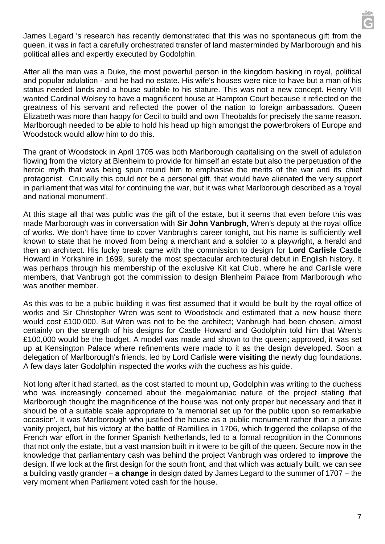James Legard 's research has recently demonstrated that this was no spontaneous gift from the queen, it was in fact a carefully orchestrated transfer of land masterminded by Marlborough and his political allies and expertly executed by Godolphin.

After all the man was a Duke, the most powerful person in the kingdom basking in royal, political and popular adulation - and he had no estate. His wife's houses were nice to have but a man of his status needed lands and a house suitable to his stature. This was not a new concept. Henry VIII wanted Cardinal Wolsey to have a magnificent house at Hampton Court because it reflected on the greatness of his servant and reflected the power of the nation to foreign ambassadors. Queen Elizabeth was more than happy for Cecil to build and own Theobalds for precisely the same reason. Marlborough needed to be able to hold his head up high amongst the powerbrokers of Europe and Woodstock would allow him to do this.

The grant of Woodstock in April 1705 was both Marlborough capitalising on the swell of adulation flowing from the victory at Blenheim to provide for himself an estate but also the perpetuation of the heroic myth that was being spun round him to emphasise the merits of the war and its chief protagonist. Crucially this could not be a personal gift, that would have alienated the very support in parliament that was vital for continuing the war, but it was what Marlborough described as a 'royal and national monument'.

At this stage all that was public was the gift of the estate, but it seems that even before this was made Marlborough was in conversation with **Sir John Vanbrugh**, Wren's deputy at the royal office of works. We don't have time to cover Vanbrugh's career tonight, but his name is sufficiently well known to state that he moved from being a merchant and a soldier to a playwright, a herald and then an architect. His lucky break came with the commission to design for **Lord Carlisle** Castle Howard in Yorkshire in 1699, surely the most spectacular architectural debut in English history. It was perhaps through his membership of the exclusive Kit kat Club, where he and Carlisle were members, that Vanbrugh got the commission to design Blenheim Palace from Marlborough who was another member.

As this was to be a public building it was first assumed that it would be built by the royal office of works and Sir Christopher Wren was sent to Woodstock and estimated that a new house there would cost £100,000. But Wren was not to be the architect; Vanbrugh had been chosen, almost certainly on the strength of his designs for Castle Howard and Godolphin told him that Wren's £100,000 would be the budget. A model was made and shown to the queen; approved, it was set up at Kensington Palace where refinements were made to it as the design developed. Soon a delegation of Marlborough's friends, led by Lord Carlisle **were visiting** the newly dug foundations. A few days later Godolphin inspected the works with the duchess as his guide.

Not long after it had started, as the cost started to mount up, Godolphin was writing to the duchess who was increasingly concerned about the megalomaniac nature of the project stating that Marlborough thought the magnificence of the house was 'not only proper but necessary and that it should be of a suitable scale appropriate to 'a memorial set up for the public upon so remarkable occasion'. It was Marlborough who justified the house as a public monument rather than a private vanity project, but his victory at the battle of Ramillies in 1706, which triggered the collapse of the French war effort in the former Spanish Netherlands, led to a formal recognition in the Commons that not only the estate, but a vast mansion built in it were to be gift of the queen. Secure now in the knowledge that parliamentary cash was behind the project Vanbrugh was ordered to **improve** the design. If we look at the first design for the south front, and that which was actually built, we can see a building vastly grander – **a change** in design dated by James Legard to the summer of 1707 – the very moment when Parliament voted cash for the house.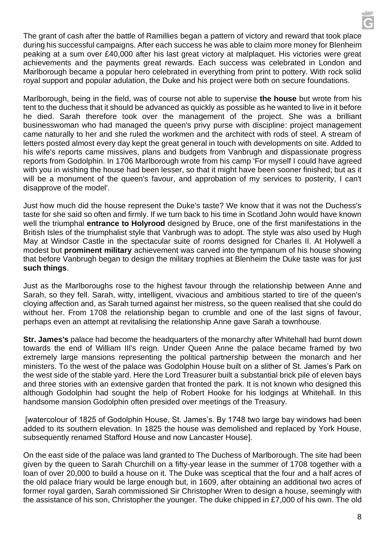The grant of cash after the battle of Ramillies began a pattern of victory and reward that took place during his successful campaigns. After each success he was able to claim more money for Blenheim peaking at a sum over £40,000 after his last great victory at malplaquet. His victories were great achievements and the payments great rewards. Each success was celebrated in London and Marlborough became a popular hero celebrated in everything from print to pottery. With rock solid royal support and popular adulation, the Duke and his project were both on secure foundations.

Marlborough, being in the field, was of course not able to supervise **the house** but wrote from his tent to the duchess that it should be advanced as quickly as possible as he wanted to live in it before he died. Sarah therefore took over the management of the project. She was a brilliant businesswoman who had managed the queen's privy purse with discipline: project management came naturally to her and she ruled the workmen and the architect with rods of steel. A stream of letters posted almost every day kept the great general in touch with developments on site. Added to his wife's reports came missives, plans and budgets from Vanbrugh and dispassionate progress reports from Godolphin. In 1706 Marlborough wrote from his camp 'For myself I could have agreed with you in wishing the house had been lesser, so that it might have been sooner finished; but as it will be a monument of the queen's favour, and approbation of my services to posterity, I can't disapprove of the model'.

Just how much did the house represent the Duke's taste? We know that it was not the Duchess's taste for she said so often and firmly. If we turn back to his time in Scotland John would have known well the triumphal **entrance to Holyrood** designed by Bruce, one of the first manifestations in the British Isles of the triumphalist style that Vanbrugh was to adopt. The style was also used by Hugh May at Windsor Castle in the spectacular suite of rooms designed for Charles II. At Holywell a modest but **prominent military** achievement was carved into the tympanum of his house showing that before Vanbrugh began to design the military trophies at Blenheim the Duke taste was for just **such things**.

Just as the Marlboroughs rose to the highest favour through the relationship between Anne and Sarah, so they fell. Sarah, witty, intelligent, vivacious and ambitious started to tire of the queen's cloying affection and, as Sarah turned against her mistress, so the queen realised that she could do without her. From 1708 the relationship began to crumble and one of the last signs of favour, perhaps even an attempt at revitalising the relationship Anne gave Sarah a townhouse.

**Str. James's** palace had become the headquarters of the monarchy after Whitehall had burnt down towards the end of William III's reign. Under Queen Anne the palace became framed by two extremely large mansions representing the political partnership between the monarch and her ministers. To the west of the palace was Godolphin House built on a slither of St. James's Park on the west side of the stable yard. Here the Lord Treasurer built a substantial brick pile of eleven bays and three stories with an extensive garden that fronted the park. It is not known who designed this although Godolphin had sought the help of Robert Hooke for his lodgings at Whitehall. In this handsome mansion Godolphin often presided over meetings of the Treasury.

[watercolour of 1825 of Godolphin House, St. James's. By 1748 two large bay windows had been added to its southern elevation. In 1825 the house was demolished and replaced by York House, subsequently renamed Stafford House and now Lancaster House].

On the east side of the palace was land granted to The Duchess of Marlborough. The site had been given by the queen to Sarah Churchill on a fifty-year lease in the summer of 1708 together with a loan of over 20,000 to build a house on it. The Duke was sceptical that the four and a half acres of the old palace friary would be large enough but, in 1609, after obtaining an additional two acres of former royal garden, Sarah commissioned Sir Christopher Wren to design a house, seemingly with the assistance of his son, Christopher the younger. The duke chipped in £7,000 of his own. The old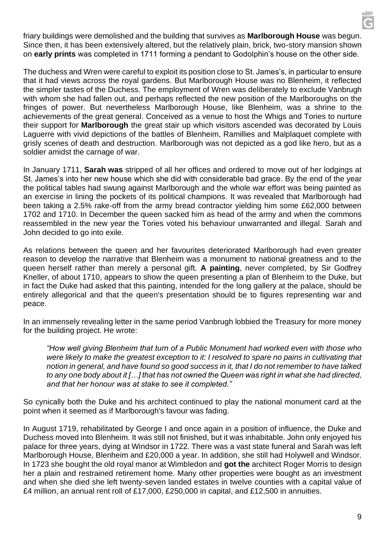friary buildings were demolished and the building that survives as **Marlborough House** was begun. Since then, it has been extensively altered, but the relatively plain, brick, two-story mansion shown on **early prints** was completed in 1711 forming a pendant to Godolphin's house on the other side.

The duchess and Wren were careful to exploit its position close to St. James's, in particular to ensure that it had views across the royal gardens. But Marlborough House was no Blenheim, it reflected the simpler tastes of the Duchess. The employment of Wren was deliberately to exclude Vanbrugh with whom she had fallen out, and perhaps reflected the new position of the Marlboroughs on the fringes of power. But nevertheless Marlborough House, like Blenheim, was a shrine to the achievements of the great general. Conceived as a venue to host the Whigs and Tories to nurture their support for **Marlborough** the great stair up which visitors ascended was decorated by Louis Laguerre with vivid depictions of the battles of Blenheim, Ramillies and Malplaquet complete with grisly scenes of death and destruction. Marlborough was not depicted as a god like hero, but as a soldier amidst the carnage of war.

In January 1711, **Sarah was** stripped of all her offices and ordered to move out of her lodgings at St. James's into her new house which she did with considerable bad grace. By the end of the year the political tables had swung against Marlborough and the whole war effort was being painted as an exercise in lining the pockets of its political champions. It was revealed that Marlborough had been taking a 2.5% rake-off from the army bread contractor yielding him some £62,000 between 1702 and 1710. In December the queen sacked him as head of the army and when the commons reassembled in the new year the Tories voted his behaviour unwarranted and illegal. Sarah and John decided to go into exile.

As relations between the queen and her favourites deteriorated Marlborough had even greater reason to develop the narrative that Blenheim was a monument to national greatness and to the queen herself rather than merely a personal gift. **A painting**, never completed, by Sir Godfrey Kneller, of about 1710, appears to show the queen presenting a plan of Blenheim to the Duke, but in fact the Duke had asked that this painting, intended for the long gallery at the palace, should be entirely allegorical and that the queen's presentation should be to figures representing war and peace.

In an immensely revealing letter in the same period Vanbrugh lobbied the Treasury for more money for the building project. He wrote:

*"How well giving Blenheim that turn of a Public Monument had worked even with those who were likely to make the greatest exception to it: I resolved to spare no pains in cultivating that notion in general, and have found so good success in it, that I do not remember to have talked to any one body about it […] that has not owned the Queen was right in what she had directed, and that her honour was at stake to see it completed."*

So cynically both the Duke and his architect continued to play the national monument card at the point when it seemed as if Marlborough's favour was fading.

In August 1719, rehabilitated by George I and once again in a position of influence, the Duke and Duchess moved into Blenheim. It was still not finished, but it was inhabitable. John only enjoyed his palace for three years, dying at Windsor in 1722. There was a vast state funeral and Sarah was left Marlborough House, Blenheim and £20,000 a year. In addition, she still had Holywell and Windsor. In 1723 she bought the old royal manor at Wimbledon and **got the** architect Roger Morris to design her a plain and restrained retirement home. Many other properties were bought as an investment and when she died she left twenty-seven landed estates in twelve counties with a capital value of £4 million, an annual rent roll of £17,000, £250,000 in capital, and £12,500 in annuities.